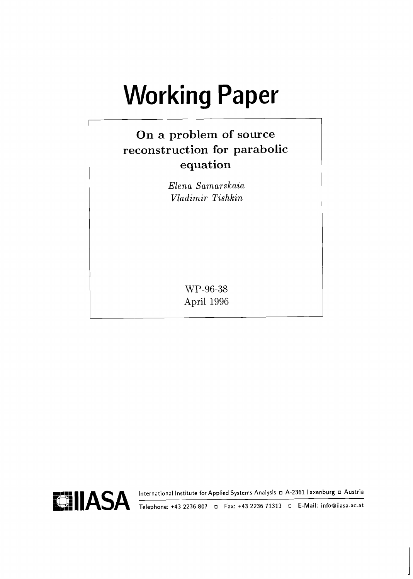# **Working Paper**

# **On a problem of source reconstruction for parabolic equation**

*Elena Sarnarskaia Vladimir Tishkin* 

> WP-96-38 April 1996

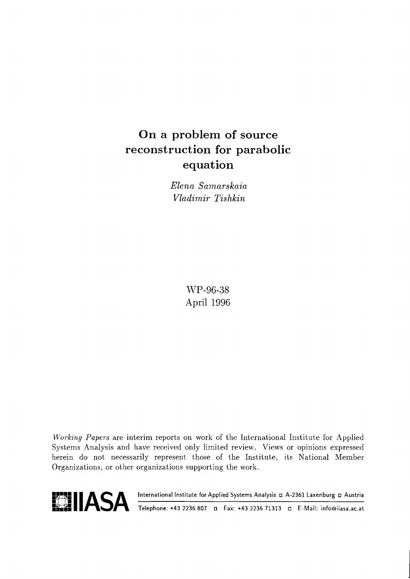# **On a problem of source reconstruction for parabolic equation**

*Elena Samarskaia Vladimir Tis hkin* 

> WP-96-38 April 1996

Working Papers are interim reports on work of the International Institute for Applied Systems Analysis and have received only limited review. Views or opinions expressed herein do not necessarily represent those of the Institute, its National Member Organizations, or other organizations supporting the work.



**A. P. A. P. A. P. A. A. P. A. P. A.** *International Institute for Applied Systems Analysis* **D. A. 2361 Laxenburg D. Austria Telephone: +43 2236 807 D. Fax: +43 2236 71313 D. E-Mail: info@iiasa.ac.at**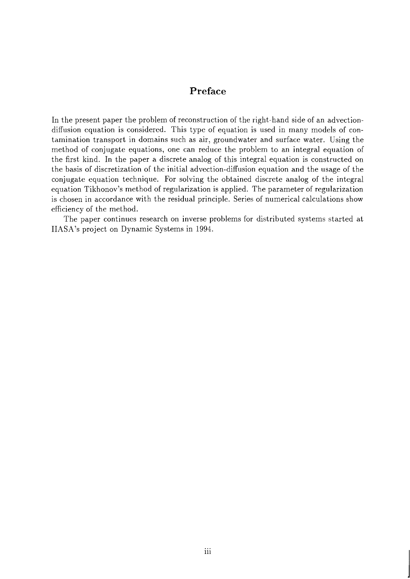#### Preface

In the present paper the problem of reconstruction of the right-hand side of an advectiondiffusion equation is considered. This type of equation is used in many models of contamination transport in domains such as air, groundwater and surface water. Using the method of conjugate equations, one can reduce the problem to an integral equation of the first kind. In the paper a discrete analog of this integral equation is constructed on the basis of discretization of the initial advection-diffusion equation and the usage of the conjugate equation technique. For solving the obtained discrete analog of the integral equation Tikhonov's method of regularization is applied. The parameter of regularization is chosen in accordance with the residual principle. Series of numerical calculations show efficiency of the method.

The paper continues research on inverse problems for distributed systems started at IIASA's project on Dynamic Systems in 1994.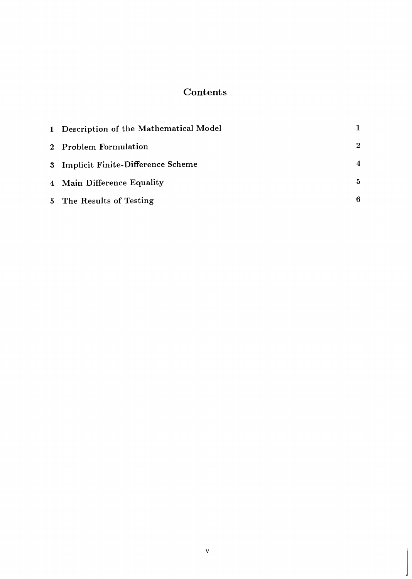#### **Contents**

| 1 Description of the Mathematical Model |                  |
|-----------------------------------------|------------------|
| 2 Problem Formulation                   | $\bf{2}$         |
| 3 Implicit Finite-Difference Scheme     | $\boldsymbol{4}$ |
| 4 Main Difference Equality              | $\mathbf{5}$     |
| 5 The Results of Testing                | 6                |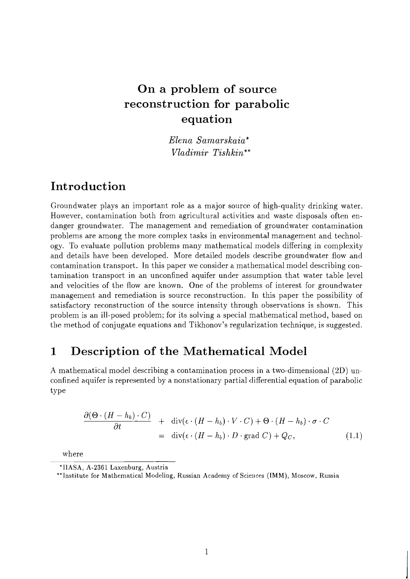## On a problem of source reconstruction for parabolic equation

*Elena Samarskaia\* Vladimir Tishkin\*\** 

### Introduction

Groundwater plays an important role as a major source of high-quality drinking water. However, contamination both from agricultural activities and waste disposals often endanger groundwater. The management and remediation of groundwater contamination problems are among the more complex tasks in environmental management and technology. To evaluate pollution problems many mathematical models differing in complexity and details have been developed. More detailed models describe groundwater flow and contamination transport. In this paper we consider a mathematical model describing contamination transport in an unconfined aquifer under assumption that water table level and velocities of the flow are known. One of the problems of interest for groundwater management and remediation is source reconstruction. In this paper the possibility of satisfactory reconstruction of the source intensity through observations is shown. This problem is an ill-posed problem; for its solving a special mathematical method, based on the method of conjugate equations and Tikhonov's regularization technique, is suggested.

### **1** Description of the Mathematical Model

A mathematical model describing a contamination process in a two-dimensional (2D) unconfined aquifer is represented by a nonstationary partial differential equation of parabolic ty pe

$$
\frac{\partial(\Theta \cdot (H - h_b) \cdot C)}{\partial t} + \text{div}(\epsilon \cdot (H - h_b) \cdot V \cdot C) + \Theta \cdot (H - h_b) \cdot \sigma \cdot C
$$
  
= 
$$
\text{div}(\epsilon \cdot (H - h_b) \cdot D \cdot \text{grad } C) + Q_C,
$$
 (1.1)

where

<sup>&#</sup>x27;IIASA, A-2361 Laxenburg, Austria

<sup>\*\*</sup>Institute for Mathematical Modeling, Russian Academy of Sciences (IMM), Moscow, Russia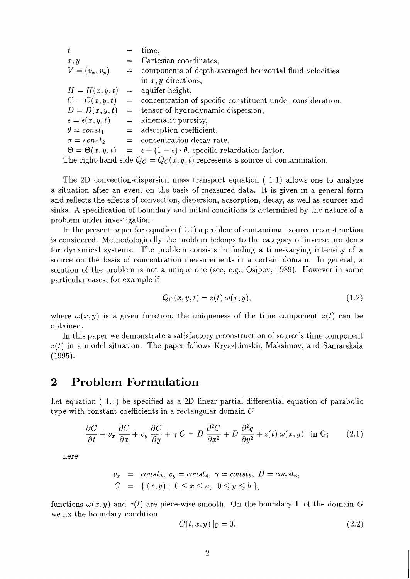| t                                                                              | $=$ | time,                                                                                              |  |  |
|--------------------------------------------------------------------------------|-----|----------------------------------------------------------------------------------------------------|--|--|
| x, y                                                                           |     | $=$ Cartesian coordinates,                                                                         |  |  |
| $V = (v_x, v_y)$                                                               |     | $=$ components of depth-averaged horizontal fluid velocities                                       |  |  |
|                                                                                |     | in $x, y$ directions,                                                                              |  |  |
| $H = H(x, y, t)$                                                               |     | $=$ aquifer height,                                                                                |  |  |
| $C=C(x,y,t)$                                                                   |     | $=$ concentration of specific constituent under consideration,                                     |  |  |
| $D = D(x, y, t)$                                                               |     | $=$ tensor of hydrodynamic dispersion,                                                             |  |  |
| $\epsilon = \epsilon(x, y, t)$                                                 |     | $=$ kinematic porosity,                                                                            |  |  |
|                                                                                |     | $\theta = const_1$ = adsorption coefficient,                                                       |  |  |
|                                                                                |     | $\sigma = const_2$ = concentration decay rate,                                                     |  |  |
|                                                                                |     | $\Theta = \Theta(x, y, t) = \epsilon + (1 - \epsilon) \cdot \theta$ , specific retardation factor. |  |  |
| The right-hand side $Q_C = Q_C(x, y, t)$ represents a source of contamination. |     |                                                                                                    |  |  |

The 2D convection-dispersion mass transport equation ( 1.1) allows one to analyze a situation after an event on the basis of measured data. It is given in a general form and reflects the effects of convection, dispersion, adsorption, decay, as well as sources and sinks. A specification of boundary and initial conditions is determined by the nature of a problem under investigation.

In the present paper for equation ( 1.1) a problem of contaminant source reconstruction is considered. Methodologically the problem belongs to the category of inverse problems for dynamical systems. The problem consists in finding a time-varying intensity of a source on the basis of concentration measurements in a certain domain. In general, a solution of the problem is not a unique one (see, e.g., Osipov, 1989). However in some particular cases, for example if

$$
Q_C(x, y, t) = z(t) \omega(x, y), \qquad (1.2)
$$

where  $\omega(x, y)$  is a given function, the uniqueness of the time component  $z(t)$  can be obtained.

In this paper we demonstrate a satisfactory reconstruction of source's time component  $z(t)$  in a model situation. The paper follows Kryazhimskii, Maksimov, and Samarskaia (1995).

#### **2 Problem Formulation**

Let equation ( 1.1) be specified as a 2D linear partial differential equation of parabolic type with constant coefficients in a rectangular domain  $G$ 

$$
\frac{\partial C}{\partial t} + v_x \frac{\partial C}{\partial x} + v_y \frac{\partial C}{\partial y} + \gamma C = D \frac{\partial^2 C}{\partial x^2} + D \frac{\partial^2 g}{\partial y^2} + z(t) \omega(x, y) \text{ in G}; \qquad (2.1)
$$

here

$$
v_x = const_3
$$
,  $v_y = const_4$ ,  $\gamma = const_5$ ,  $D = const_6$ ,  
\n $G = \{(x, y): 0 \le x \le a, 0 \le y \le b\}$ ,

functions  $\omega(x, y)$  and  $z(t)$  are piece-wise smooth. On the boundary  $\Gamma$  of the domain G we fix the boundary condition

$$
C(t, x, y) \mid_{\Gamma} = 0. \tag{2.2}
$$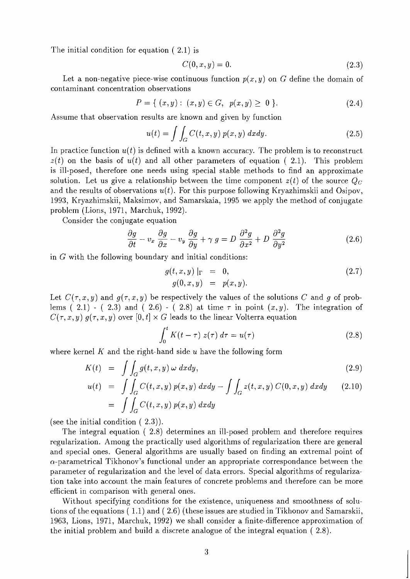The initial condition for equation ( 2.1) is

$$
C(0, x, y) = 0.\t(2.3)
$$

Let a non-negative piece-wise continuous function  $p(x, y)$  on G define the domain of contaminant concentration observations

$$
P = \{ (x, y) : (x, y) \in G, \ p(x, y) \ge 0 \}.
$$
 (2.4)

Assume that observation results are known and given by function

$$
u(t) = \int \int_G C(t, x, y) p(x, y) dx dy.
$$
 (2.5)

In practice function  $u(t)$  is defined with a known accuracy. The problem is to reconstruct  $z(t)$  on the basis of  $u(t)$  and all other parameters of equation (2.1). This problem is ill-posed, therefore one needs using special stable methods to find an approximate solution. Let us give a relationship between the time component  $z(t)$  of the source  $Q_C$ and the results of observations  $u(t)$ . For this purpose following Kryazhimskii and Osipov, 1993, Kryazhimskii, Maksimov, and Samarskaia, 1995 we apply the method of conjugate problem (Lions, 1971, Marchuk, 1992).

Consider the conjugate equation

$$
\frac{\partial g}{\partial t} - v_x \frac{\partial g}{\partial x} - v_y \frac{\partial g}{\partial y} + \gamma g = D \frac{\partial^2 g}{\partial x^2} + D \frac{\partial^2 g}{\partial y^2}
$$
(2.6)

in G with the following boundary and initial conditions:

$$
g(t, x, y) |_{\Gamma} = 0, g(0, x, y) = p(x, y).
$$
 (2.7)

Let  $C(\tau, x, y)$  and  $g(\tau, x, y)$  be respectively the values of the solutions C and g of problems ( 2.1) - ( 2.3) and ( 2.6) - ( 2.8) at time  $\tau$  in point  $(x, y)$ . The integration of  $C(\tau, x, y)$   $g(\tau, x, y)$  over  $[0, t] \times G$  leads to the linear Volterra equation

$$
\int_0^t K(t-\tau) z(\tau) d\tau = u(\tau) \tag{2.8}
$$

where kernel *K* and the right-hand side u have the following form

$$
K(t) = \iint_G g(t, x, y) \, \omega \, dx dy, \tag{2.9}
$$

$$
u(t) = \int \int_G C(t, x, y) p(x, y) dx dy - \int \int_G z(t, x, y) C(0, x, y) dx dy \qquad (2.10)
$$

$$
= \int \int_G C(t, x, y) p(x, y) dx dy
$$

(see the initial condition ( 2.3)).

The integral equation ( 2.8) determines an ill-posed problem and therefore requires regularization. Among the practically used algorithms of regularization there are general and special ones. General algorithms are usually based on finding an extremal point of  $\alpha$ -parametrical Tikhonov's functional under an appropriate correspondance between the parameter of regularization and the level of data errors. Special algorithms of regularization take into account the main features of concrete problems and therefore can be more efficient in comparison with general ones.

Without specifying conditions for the existence, uniqueness and smoothness of solutions of the equations ( 1.1) and ( 2.6) (these issues are studied in Tikhonov and Samarskii, 1963, Lions, 1971, Marchuk, 1992) we shall consider a finite-difference approximation of the initial problem and build a discrete analogue of the integral equation ( 2.8).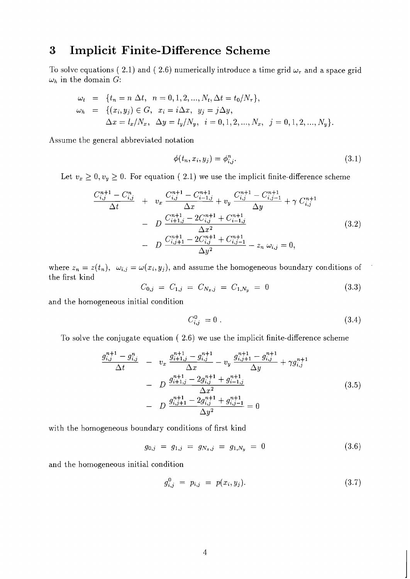## **3 Implicit Finite-Difference Scheme**

To solve equations ( 2.1) and ( 2.6) numerically introduce a time grid  $\omega_{\tau}$  and a space grid  $\omega_h$  in the domain *G*:

$$
\omega_t = \{t_n = n \Delta t, n = 0, 1, 2, ..., N_t, \Delta t = t_0/N_\tau\},
$$
  
\n
$$
\omega_h = \{(x_i, y_j) \in G, x_i = i\Delta x, y_j = j\Delta y,
$$
  
\n
$$
\Delta x = l_x/N_x, \Delta y = l_y/N_y, i = 0, 1, 2, ..., N_x, j = 0, 1, 2, ..., N_y\}.
$$

Assume the general abbreviated notation

$$
\phi(t_n, x_i, y_j) = \phi_{i,j}^n. \tag{3.1}
$$

Let  $v_x \geq 0, v_y \geq 0$ . For equation (2.1) we use the implicit finite-difference scheme

$$
\frac{C_{i,j}^{n+1} - C_{i,j}^{n}}{\Delta t} + v_x \frac{C_{i,j}^{n+1} - C_{i-1,j}^{n+1}}{\Delta x} + v_y \frac{C_{i,j}^{n+1} - C_{i,j-1}^{n+1}}{\Delta y} + \gamma C_{i,j}^{n+1}
$$

$$
- D \frac{C_{i+1,j}^{n+1} - 2C_{i,j}^{n+1} + C_{i-1,j}^{n+1}}{\Delta x^2}
$$

$$
- D \frac{C_{i,j+1}^{n+1} - 2C_{i,j}^{n+1} + C_{i,j-1}^{n+1}}{\Delta y^2} - z_n \omega_{i,j} = 0,
$$
\n(3.2)

where  $z_n = z(t_n)$ ,  $\omega_{i,j} = \omega(x_i, y_j)$ , and assume the homogeneous boundary conditions of the first kind

$$
C_{0,j} = C_{1,j} = C_{N_x,j} = C_{1,N_y} = 0 \tag{3.3}
$$

and the homogeneous initial condition

$$
C_{i,j}^0 = 0. \t\t(3.4)
$$

To solve the conjugate equation ( *2.6)* we use the implicit finite-difference scheme

$$
\frac{g_{i,j}^{n+1} - g_{i,j}^{n}}{\Delta t} - v_x \frac{g_{i+1,j}^{n+1} - g_{i,j}^{n+1}}{\Delta x} - v_y \frac{g_{i,j+1}^{n+1} - g_{i,j}^{n+1}}{\Delta y} + \gamma g_{i,j}^{n+1}
$$
\n
$$
- D \frac{g_{i+1,j}^{n+1} - 2g_{i,j}^{n+1} + g_{i-1,j}^{n+1}}{\Delta x^2}
$$
\n
$$
- D \frac{g_{i,j+1}^{n+1} - 2g_{i,j}^{n+1} + g_{i,j-1}^{n+1}}{\Delta y^2} = 0
$$
\n(3.5)

with the homogeneous boundary conditions of first kind

$$
g_{0,j} = g_{1,j} = g_{N_x,j} = g_{1,N_y} = 0 \tag{3.6}
$$

and the homogeneous initial condition

$$
g_{i,j}^0 = p_{i,j} = p(x_i, y_j). \tag{3.7}
$$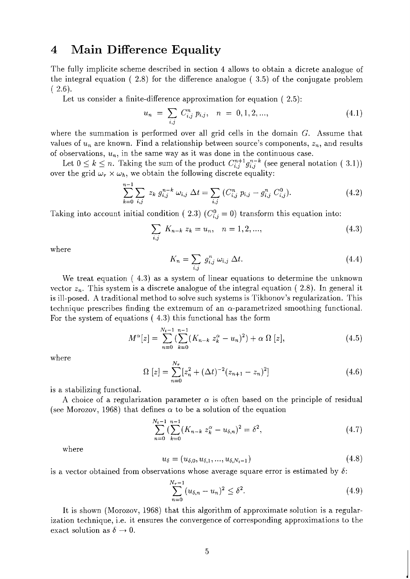#### **4 Main Difference Equality**

The fully implicite scheme described in section 4 allows to obtain a dicrete analogue of the integral equation ( 2.8) for the difference analogue ( 3.5) of the conjugate problem  $(2.6).$ 

Let us consider a finite-difference approximation for equation (2.5):

$$
u_n = \sum_{i,j} C_{i,j}^n p_{i,j}, \quad n = 0, 1, 2, \dots,
$$
\n(4.1)

where the summation is performed over all grid cells in the domain  $G$ . Assume that values of  $u_n$  are known. Find a relationship between source's components,  $z_n$ , and results of observations,  $u_n$ , in the same way as it was done in the continuous case.

Let  $0 \leq k \leq n$ . Taking the sum of the product  $C_{i,j}^{n+1} g_{i,j}^{n-k}$  (see general notation ( 3.1)) over the grid  $\omega_{\tau} \times \omega_{h}$ , we obtain the following discrete equality:

$$
\sum_{k=0}^{n-1} \sum_{i,j} z_k g_{i,j}^{n-k} \omega_{i,j} \Delta t = \sum_{i,j} (C_{i,j}^n p_{i,j} - g_{i,j}^n C_{i,j}^0). \qquad (4.2)
$$

Taking into account initial condition ( 2.3)  $(C_{i,j}^0 = 0)$  transform this equation into:

$$
\sum_{i,j} K_{n-k} z_k = u_n, \quad n = 1, 2, ..., \tag{4.3}
$$

where

$$
K_n = \sum_{i,j} g_{i,j}^n \omega_{i,j} \Delta t. \tag{4.4}
$$

We treat equation ( 4.3) as a system of linear equations to determine the unknown vector  $z_n$ . This system is a discrete analogue of the integral equation (2.8). In general it is ill-posed. A traditional method to solve such systems is Tikhonov's regularization. This technique prescribes finding the extremum of an  $\alpha$ -parametrized smoothing functional. For the system of equations ( 4.3) this functional has the form

$$
M^{\alpha}[z] = \sum_{n=0}^{N_t - 1} \left( \sum_{k=0}^{n-1} (K_{n-k} z_k^{\alpha} - u_n)^2 \right) + \alpha \, \Omega \, [z], \tag{4.5}
$$

where

$$
\Omega \left[ z \right] = \sum_{n=0}^{N_{\tau}} \left[ z_n^2 + (\Delta t)^{-2} (z_{n+1} - z_n)^2 \right] \tag{4.6}
$$

is a stabilizing functional.

A choice of a regularization parameter  $\alpha$  is often based on the principle of residual (see Morozov, 1968) that defines  $\alpha$  to be a solution of the equation

$$
\sum_{n=0}^{N_t-1} \left( \sum_{k=0}^{n-1} (K_{n-k} z_k^{\alpha} - u_{\delta,n})^2 = \delta^2, \right) \tag{4.7}
$$

where

$$
u_{\delta} = (u_{\delta,0}, u_{\delta,1}, ..., u_{\delta,N_t-1})
$$
\n(4.8)

is a vector obtained from observations whose average square error is estimated by  $\delta$ :

$$
\sum_{n=0}^{N_{\tau}-1} (u_{\delta,n} - u_n)^2 \le \delta^2.
$$
\n(4.9)

It is shown (Morozov, 1968) that this algorithm of approximate solution is a regularization technique, i.e. it ensures the convergence of corresponding approximations to the exact solution as  $\delta \to 0$ .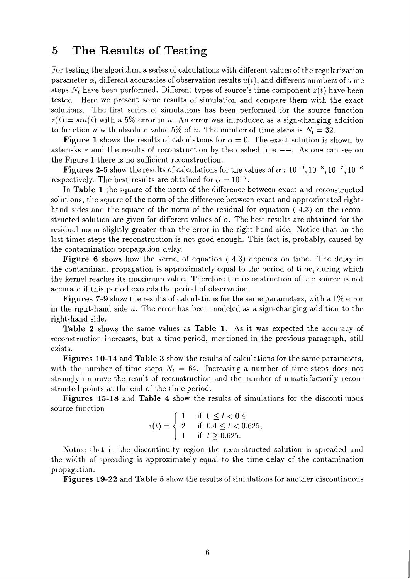#### **5 The Results of Testing**

For testing the algorithm, a series of calculations with different values of the regularization parameter  $\alpha$ , different accuracies of observation results  $u(t)$ , and different numbers of time steps  $N_t$  have been performed. Different types of source's time component  $z(t)$  have been tested. Here we present some results of simulation and compare them with the exact solutions. The first series of simulations has been performed for the source function  $z(t) = sin(t)$  with a 5% error in u. An error was introduced as a sign-changing addition to function u with absolute value 5% of u. The number of time steps is  $N_t = 32$ .

**Figure 1** shows the results of calculations for  $\alpha = 0$ . The exact solution is shown by asterisks  $*$  and the results of reconstruction by the dashed line  $--$ . As one can see on the Figure 1 there is no sufficient reconstruction.

**Figures 2-5** show the results of calculations for the values of  $\alpha$ :  $10^{-9}$ ,  $10^{-8}$ ,  $10^{-7}$ ,  $10^{-6}$ respectively. The best results are obtained for  $\alpha = 10^{-7}$ .

In **Table 1** the square of the norm of the difference between exact and reconstructed solutions, the square of the norm of the difference between exact and approximated righthand sides and the square of the norm of the residual for equation  $(4.3)$  on the reconstructed solution are given for different values of  $\alpha$ . The best results are obtained for the residual norm slightly greater than the error in the right-hand side. Notice that on the last times steps the reconstruction is not good enough. This fact is, probably, caused by the contamination propagation delay.

**Figure 6** shows how the kernel of equation (4.3) depends on time. The delay in the contaminant propagation is approximately equal to the period of time, during which the kernel reaches its maximum value. Therefore the reconstruction of the source is not accurate if this period exceeds the period of observation.

**Figures 7-9** show the results of calculations for the same parameters, with a 1% error in the right-hand side  $u$ . The error has been modeled as a sign-changing addition to the right-hand side.

**Table 2** shows the same values as **Table 1.** As it was expected the accuracy of reconstruction increases, but a time period, mentioned in the previous paragraph, still exists.

**Figures 10-14** and **Table 3** show the results of calculations for the same parameters, with the number of time steps  $N_t = 64$ . Increasing a number of time steps does not strongly improve the result of reconstruction and the number of unsatisfactorily reconstructed points at the end of the time period.

**Figures 15-18** and **Table 4** show the results of simulations for the discontinuous source function

$$
z(t) = \begin{cases} 1 & \text{if } 0 \le t < 0.4, \\ 2 & \text{if } 0.4 \le t < 0.625, \\ 1 & \text{if } t \ge 0.625. \end{cases}
$$

Notice that in the discontinuity region the reconstructed solution is spreaded and the width of spreading is approximately equal to the time delay of the contamination propagation.

**Figures 19-22** and **Table 5** show the results of simulations for another discontinuous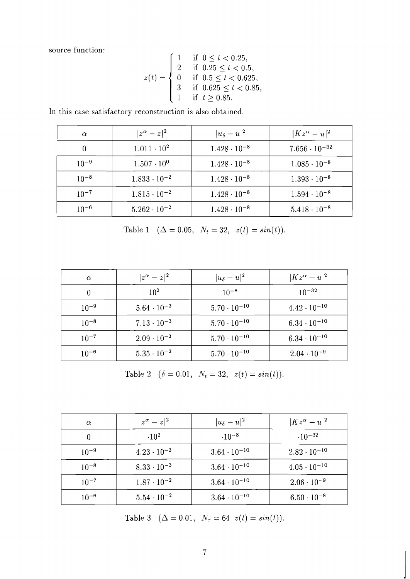source function:

$$
z(t) = \begin{cases} 1 & \text{if } 0 \leq t < 0.25, \\ 2 & \text{if } 0.25 \leq t < 0.5, \\ 0 & \text{if } 0.5 \leq t < 0.625, \\ 3 & \text{if } 0.625 \leq t < 0.85, \\ 1 & \text{if } t \geq 0.85. \end{cases}
$$

In this case satisfactory reconstruction is also obtained.

| $\alpha$  | $ z^{\alpha}-z ^2$    | $ u_\delta-u ^2$      | $ Kz^{\alpha}-u ^2$    |
|-----------|-----------------------|-----------------------|------------------------|
| 0         | $1.011 \cdot 10^{2}$  | $1.428 \cdot 10^{-8}$ | $7.656 \cdot 10^{-32}$ |
| $10^{-9}$ | $1.507 \cdot 10^{0}$  | $1.428 \cdot 10^{-8}$ | $1.085 \cdot 10^{-8}$  |
| $10^{-8}$ | $1.833 \cdot 10^{-2}$ | $1.428 \cdot 10^{-8}$ | $1.393 \cdot 10^{-8}$  |
| $10^{-7}$ | $1.815 \cdot 10^{-2}$ | $1.428 \cdot 10^{-8}$ | $1.594 \cdot 10^{-8}$  |
| $10^{-6}$ | $5.262 \cdot 10^{-2}$ | $1.428 \cdot 10^{-8}$ | $5.418 \cdot 10^{-8}$  |

Table 1 ( $\Delta = 0.05$ ,  $N_t = 32$ ,  $z(t) = sin(t)$ ).

| $\alpha$  | $ z^{\alpha}-z ^2$   | $ u_\delta-u ^2$      | $ Kz^{\alpha}-u ^2$   |
|-----------|----------------------|-----------------------|-----------------------|
|           | $10^{2}$             | $10^{-8}$             | $10^{-32}$            |
| $10^{-9}$ | $5.64 \cdot 10^{-2}$ | $5.70 \cdot 10^{-10}$ | $4.42 \cdot 10^{-10}$ |
| $10^{-8}$ | $7.13 \cdot 10^{-3}$ | $5.70 \cdot 10^{-10}$ | $6.34 \cdot 10^{-10}$ |
| $10^{-7}$ | $2.09 \cdot 10^{-2}$ | $5.70 \cdot 10^{-10}$ | $6.34 \cdot 10^{-10}$ |
| $10^{-6}$ | $5.35 \cdot 10^{-2}$ | $5.70 \cdot 10^{-10}$ | $2.04 \cdot 10^{-9}$  |

Table 2  $(\delta = 0.01, N_t = 32, z(t) = sin(t)).$ 

| $\alpha$  | $ z^{\alpha}-z ^2$   | $ u_\delta-u ^2$      | $ Kz^{\alpha}-u ^2$   |
|-----------|----------------------|-----------------------|-----------------------|
| 0         | $-10^{2}$            | $.10^{-8}$            | $-10^{-32}$           |
| $10^{-9}$ | $4.23 \cdot 10^{-2}$ | $3.64 \cdot 10^{-10}$ | $2.82 \cdot 10^{-10}$ |
| $10^{-8}$ | $8.33 \cdot 10^{-3}$ | $3.64 \cdot 10^{-10}$ | $4.05 \cdot 10^{-10}$ |
| $10^{-7}$ | $1.87 \cdot 10^{-2}$ | $3.64 \cdot 10^{-10}$ | $2.06 \cdot 10^{-9}$  |
| $10^{-6}$ | $5.54 \cdot 10^{-2}$ | $3.64 \cdot 10^{-10}$ | $6.50 \cdot 10^{-8}$  |

Table 3  $(\Delta = 0.01, N_{\tau} = 64 \ z(t) = \sin(t)).$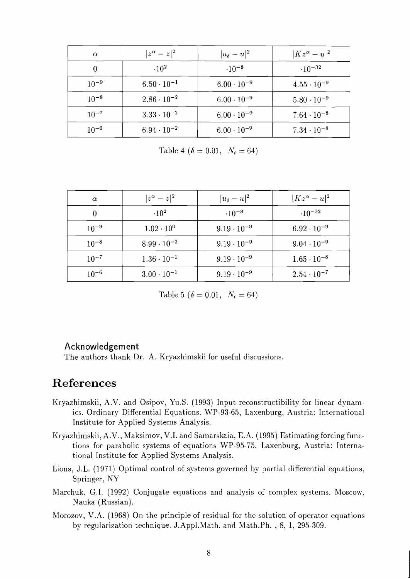| $\alpha$       | $ z^{\alpha}-z ^2$      | $ u_\delta-u ^2$     | $ Kz^{\alpha}-u ^2$  |
|----------------|-------------------------|----------------------|----------------------|
| $\overline{0}$ | $\cdot$ 10 <sup>2</sup> | $\cdot 10^{-8}$      | $\cdot 10^{-32}$     |
| $10^{-9}$      | $6.50 \cdot 10^{-1}$    | $6.00 \cdot 10^{-9}$ | $4.55 \cdot 10^{-9}$ |
| $10^{-8}$      | $2.86 \cdot 10^{-2}$    | $6.00 \cdot 10^{-9}$ | $5.80 \cdot 10^{-9}$ |
| $10^{-7}$      | $3.33 \cdot 10^{-2}$    | $6.00 \cdot 10^{-9}$ | $7.64 \cdot 10^{-8}$ |
| $10^{-6}$      | $6.94 \cdot 10^{-2}$    | $6.00 \cdot 10^{-9}$ | $7.34 \cdot 10^{-8}$ |

Table 4 ( $\delta = 0.01$ ,  $N_t = 64$ )

| $\alpha$  | $ z^{\alpha}-z ^2$   | $ u_\delta-u ^2$     | $ Kz^{\alpha}-u ^2$  |
|-----------|----------------------|----------------------|----------------------|
|           | $.10^{2}$            | $.10^{-8}$           | $-10^{-32}$          |
| $10^{-9}$ | $1.02 \cdot 10^{0}$  | $9.19 \cdot 10^{-9}$ | $6.92 \cdot 10^{-9}$ |
| $10^{-8}$ | $8.99 \cdot 10^{-2}$ | $9.19 \cdot 10^{-9}$ | $9.04 \cdot 10^{-9}$ |
| $10^{-7}$ | $1.36 \cdot 10^{-1}$ | $9.19 \cdot 10^{-9}$ | $1.65 \cdot 10^{-8}$ |
| $10^{-6}$ | $3.00 \cdot 10^{-1}$ | $9.19 \cdot 10^{-9}$ | $2.54 \cdot 10^{-7}$ |

Table 5 ( $\delta = 0.01$ ,  $N_t = 64$ )

#### Acknowledgement

The authors thank Dr. A. Kryazhimskii for useful discussions.

## **References**

- Kryazhimskii, A .V. and Osipov, Yu.S. (1993) Input reconstructibility for linear dynamics. Ordinary Differential Equations. WP-93-65, Laxenburg, Austria: International Institute for Applied Systems Analysis.
- Kryazhimskii, A.V., Maksimov, V.I. and Samarskaia, E.A. (1995) Estimating forcing functions for parabolic systems of equations WP-95-75, Laxenburg, Austria: International Institute for Applied Systems Analysis.
- Lions, J.L. (1971) Optimal control of systems governed by partial differential equations, Springer, NY
- Marchuk, G.I. (1992) Conjugate equations and analysis of complex systems. Moscow, Nauka (Russian).
- Morozov, V.A. (1968) On the principle of residual for the solution of operator equations by regularization technique. J.Appl.Math. and Math.Ph. , 8, 1, 295-309.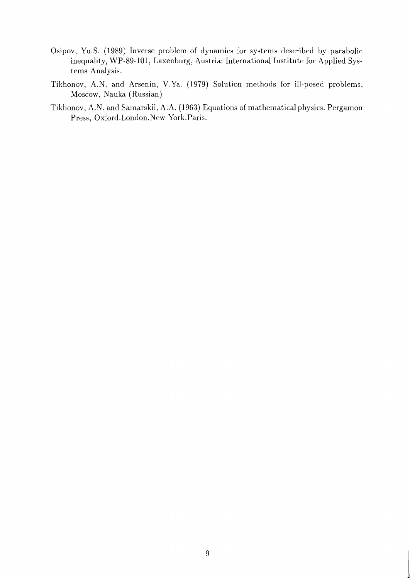- Osipov, Yu.S. (1989) Inverse problem of dynamics for systems described by parabolic inequality, WP-89-101, Laxenburg, Austria: International Institute for Applied Systems Analysis.
- Tikhonov, A.N. and Arsenin, V.Ya. (1979) Solution methods for ill-posed problems, Moscow, Nauka (Russian)
- Tikhonov, A.N. and Samarskii, A.A. (1963) Equations of mathematical physics. Pergamon Press, Oxford. London.New York.Paris.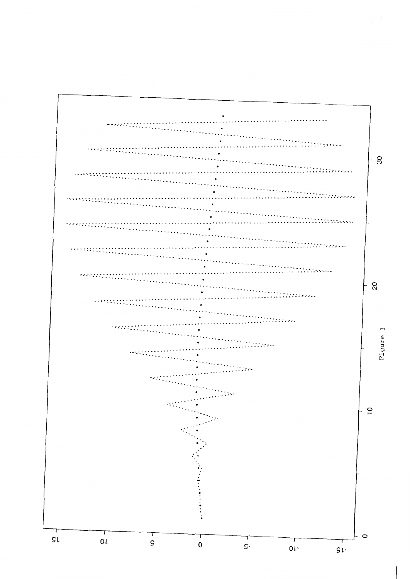

 $\sim$  $\bar{z}$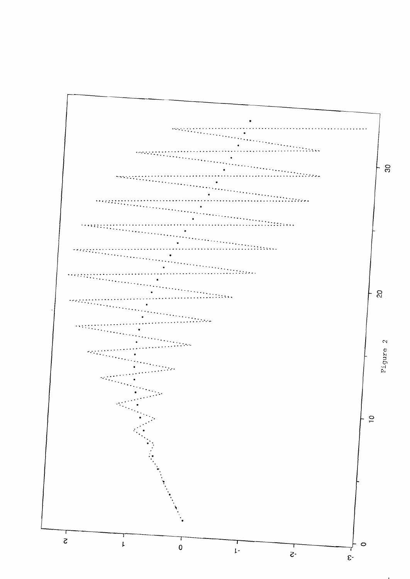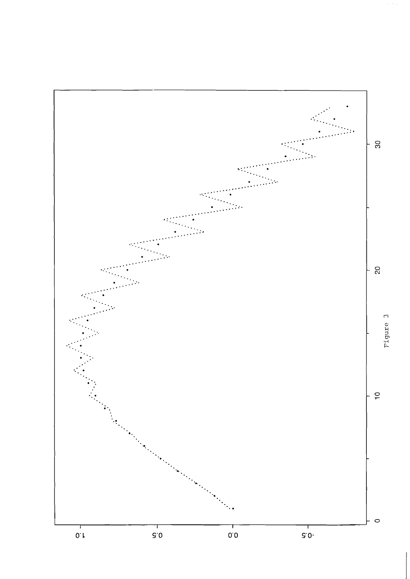

 $\alpha$  ,  $\alpha$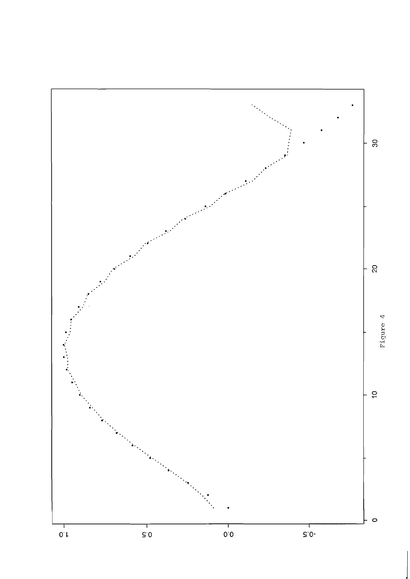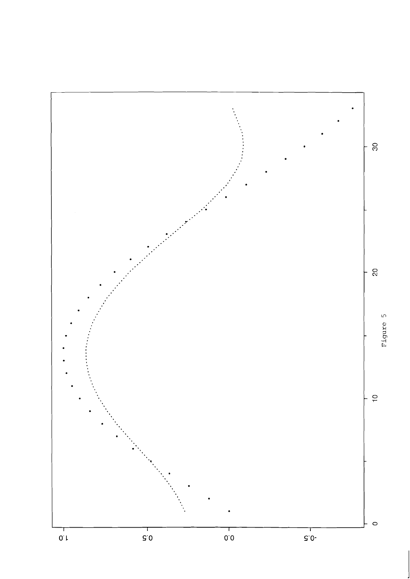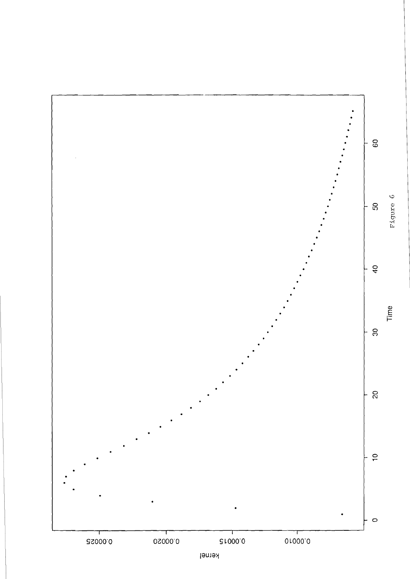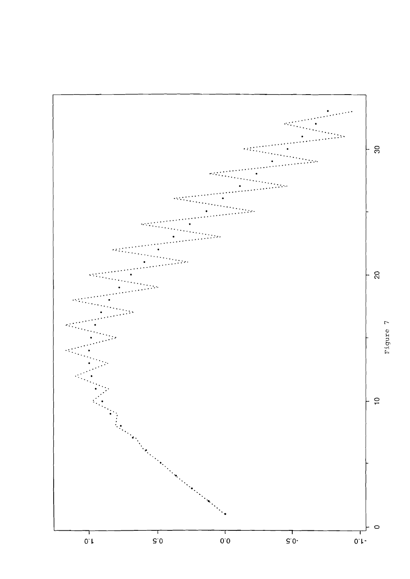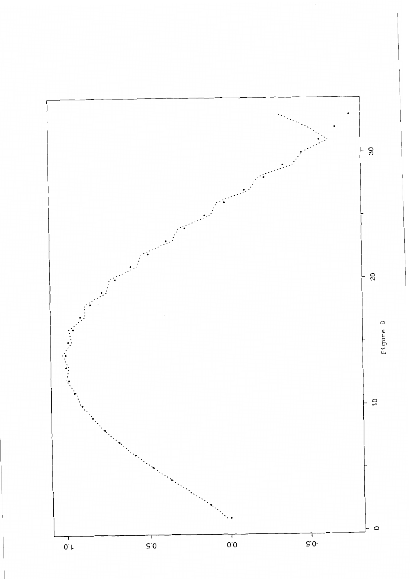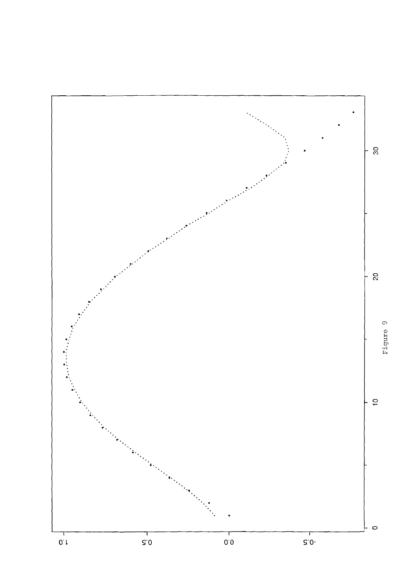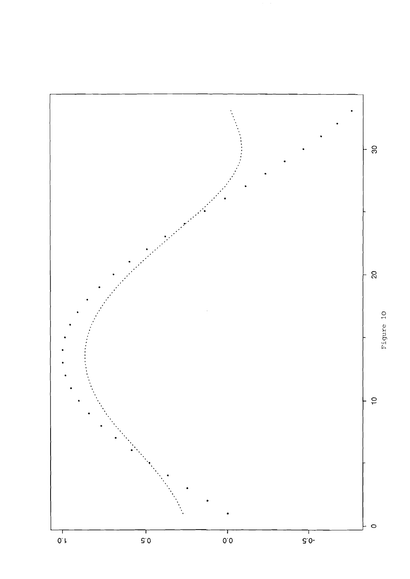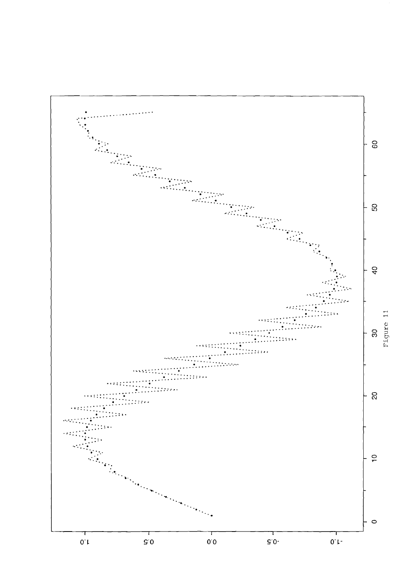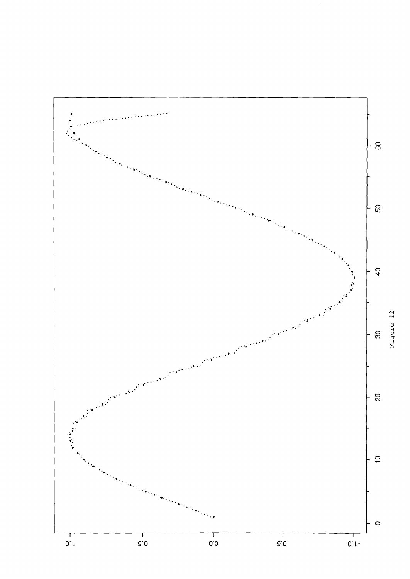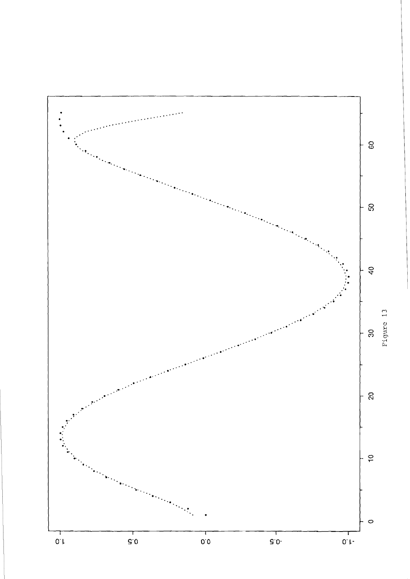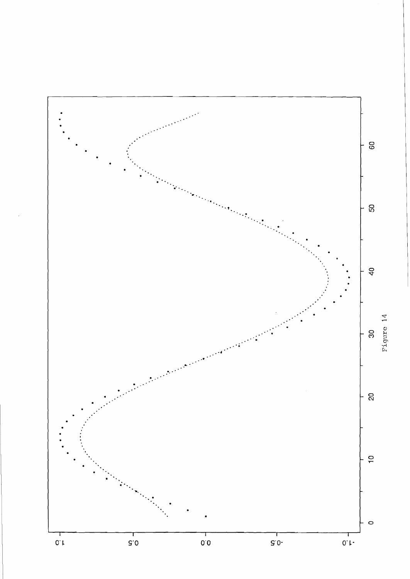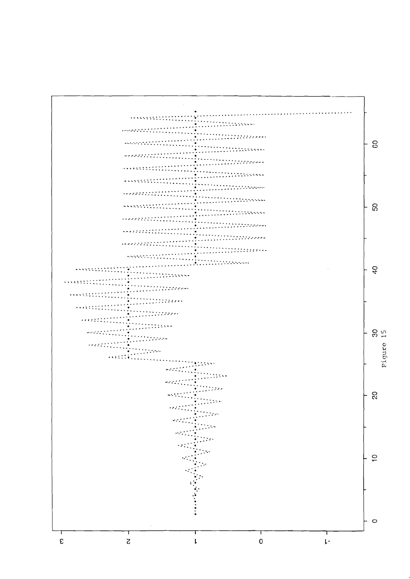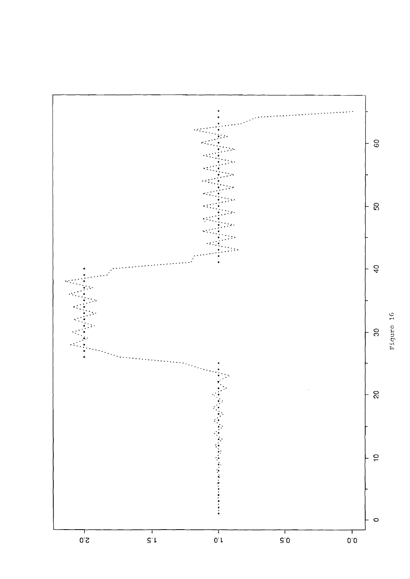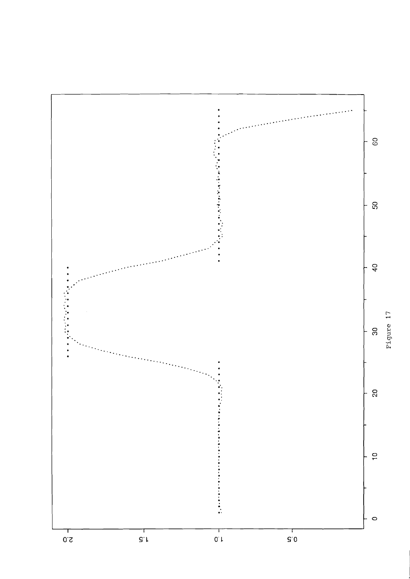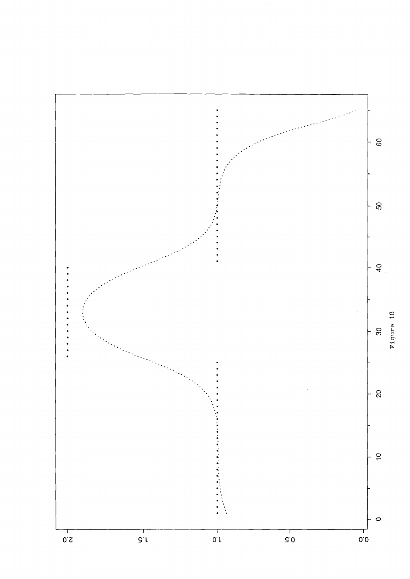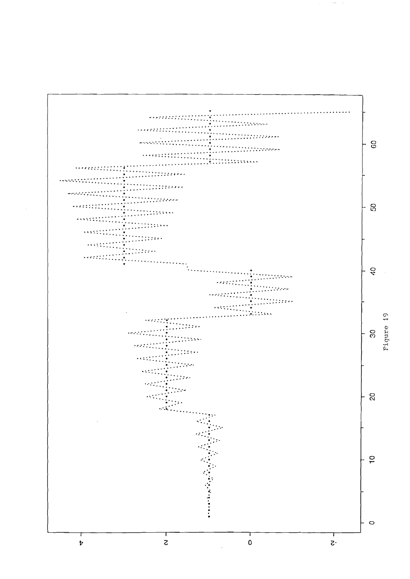

 $\sim$  over  $\sim$  1.8.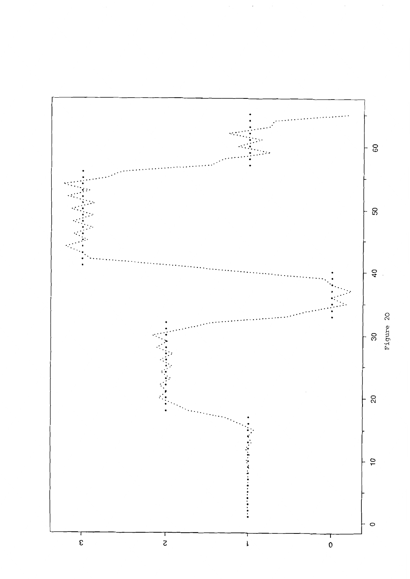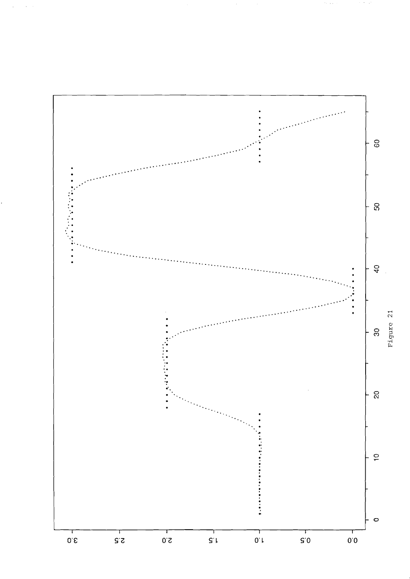

 $\gamma$  , i.e.,

 $\gamma$  ,  $\gamma$